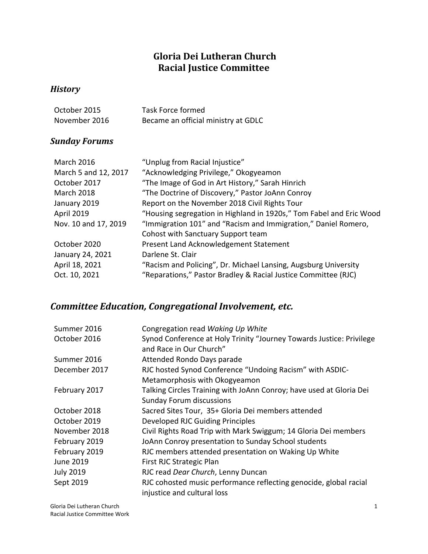### **Gloria Dei Lutheran Church Racial Justice Committee**

#### *History*

| October 2015  | Task Force formed                   |
|---------------|-------------------------------------|
| November 2016 | Became an official ministry at GDLC |

#### *Sunday Forums*

| <b>March 2016</b>    | "Unplug from Racial Injustice"                                      |
|----------------------|---------------------------------------------------------------------|
| March 5 and 12, 2017 | "Acknowledging Privilege," Okogyeamon                               |
| October 2017         | "The Image of God in Art History," Sarah Hinrich                    |
| <b>March 2018</b>    | "The Doctrine of Discovery," Pastor JoAnn Conroy                    |
| January 2019         | Report on the November 2018 Civil Rights Tour                       |
| <b>April 2019</b>    | "Housing segregation in Highland in 1920s," Tom Fabel and Eric Wood |
| Nov. 10 and 17, 2019 | "Immigration 101" and "Racism and Immigration," Daniel Romero,      |
|                      | Cohost with Sanctuary Support team                                  |
| October 2020         | Present Land Acknowledgement Statement                              |
| January 24, 2021     | Darlene St. Clair                                                   |
| April 18, 2021       | "Racism and Policing", Dr. Michael Lansing, Augsburg University     |
| Oct. 10, 2021        | "Reparations," Pastor Bradley & Racial Justice Committee (RJC)      |

# *Committee Education, Congregational Involvement, etc.*

| Summer 2016      | Congregation read Waking Up White                                    |
|------------------|----------------------------------------------------------------------|
| October 2016     | Synod Conference at Holy Trinity "Journey Towards Justice: Privilege |
|                  | and Race in Our Church"                                              |
| Summer 2016      | Attended Rondo Days parade                                           |
| December 2017    | RJC hosted Synod Conference "Undoing Racism" with ASDIC-             |
|                  | Metamorphosis with Okogyeamon                                        |
| February 2017    | Talking Circles Training with JoAnn Conroy; have used at Gloria Dei  |
|                  | <b>Sunday Forum discussions</b>                                      |
| October 2018     | Sacred Sites Tour, 35+ Gloria Dei members attended                   |
| October 2019     | Developed RJC Guiding Principles                                     |
| November 2018    | Civil Rights Road Trip with Mark Swiggum; 14 Gloria Dei members      |
| February 2019    | JoAnn Conroy presentation to Sunday School students                  |
| February 2019    | RJC members attended presentation on Waking Up White                 |
| June 2019        | First RJC Strategic Plan                                             |
| <b>July 2019</b> | RJC read Dear Church, Lenny Duncan                                   |
| Sept 2019        | RJC cohosted music performance reflecting genocide, global racial    |
|                  | injustice and cultural loss                                          |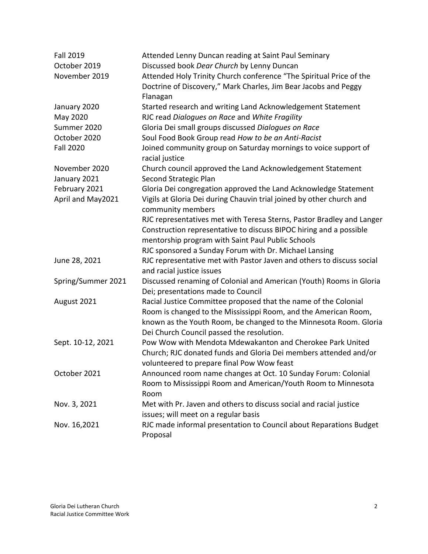| <b>Fall 2019</b>   | Attended Lenny Duncan reading at Saint Paul Seminary                                      |
|--------------------|-------------------------------------------------------------------------------------------|
| October 2019       | Discussed book Dear Church by Lenny Duncan                                                |
| November 2019      | Attended Holy Trinity Church conference "The Spiritual Price of the                       |
|                    | Doctrine of Discovery," Mark Charles, Jim Bear Jacobs and Peggy                           |
| January 2020       | Flanagan<br>Started research and writing Land Acknowledgement Statement                   |
| May 2020           | RJC read Dialogues on Race and White Fragility                                            |
| Summer 2020        | Gloria Dei small groups discussed Dialogues on Race                                       |
| October 2020       | Soul Food Book Group read How to be an Anti-Racist                                        |
| <b>Fall 2020</b>   |                                                                                           |
|                    | Joined community group on Saturday mornings to voice support of<br>racial justice         |
| November 2020      | Church council approved the Land Acknowledgement Statement                                |
| January 2021       | Second Strategic Plan                                                                     |
| February 2021      | Gloria Dei congregation approved the Land Acknowledge Statement                           |
| April and May2021  | Vigils at Gloria Dei during Chauvin trial joined by other church and<br>community members |
|                    | RJC representatives met with Teresa Sterns, Pastor Bradley and Langer                     |
|                    | Construction representative to discuss BIPOC hiring and a possible                        |
|                    | mentorship program with Saint Paul Public Schools                                         |
|                    | RJC sponsored a Sunday Forum with Dr. Michael Lansing                                     |
| June 28, 2021      | RJC representative met with Pastor Javen and others to discuss social                     |
|                    | and racial justice issues                                                                 |
| Spring/Summer 2021 | Discussed renaming of Colonial and American (Youth) Rooms in Gloria                       |
|                    | Dei; presentations made to Council                                                        |
| August 2021        | Racial Justice Committee proposed that the name of the Colonial                           |
|                    | Room is changed to the Mississippi Room, and the American Room,                           |
|                    | known as the Youth Room, be changed to the Minnesota Room. Gloria                         |
|                    | Dei Church Council passed the resolution.                                                 |
| Sept. 10-12, 2021  | Pow Wow with Mendota Mdewakanton and Cherokee Park United                                 |
|                    | Church; RJC donated funds and Gloria Dei members attended and/or                          |
|                    | volunteered to prepare final Pow Wow feast                                                |
| October 2021       | Announced room name changes at Oct. 10 Sunday Forum: Colonial                             |
|                    | Room to Mississippi Room and American/Youth Room to Minnesota                             |
|                    | Room                                                                                      |
| Nov. 3, 2021       | Met with Pr. Javen and others to discuss social and racial justice                        |
|                    | issues; will meet on a regular basis                                                      |
| Nov. 16,2021       | RJC made informal presentation to Council about Reparations Budget                        |
|                    | Proposal                                                                                  |